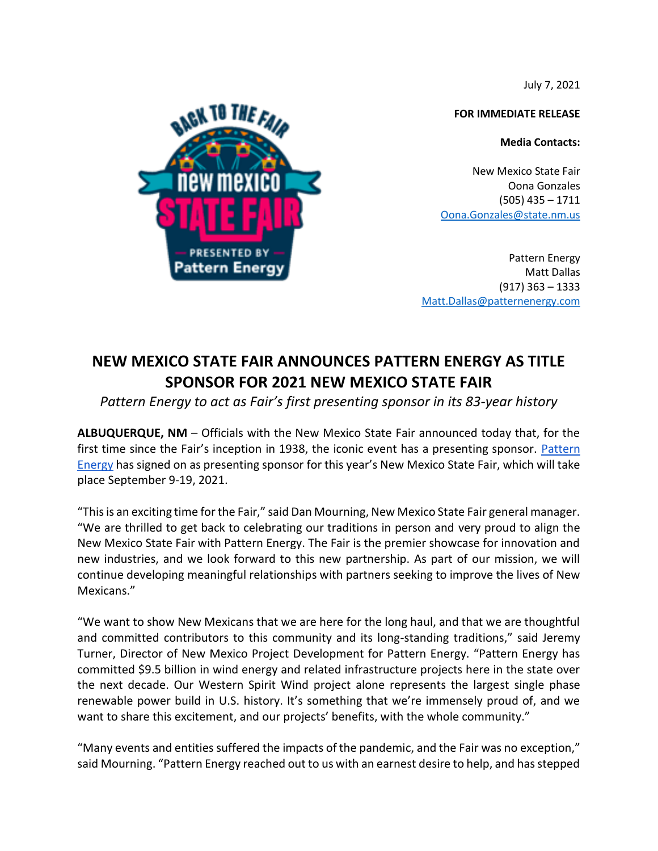July 7, 2021

**FOR IMMEDIATE RELEASE**

**Media Contacts:** 

New Mexico State Fair Oona Gonzales (505) 435 – 1711 [Oona.Gonzales@state.nm.us](mailto:Oona.Gonzales@state.nm.us)

Pattern Energy Matt Dallas (917) 363 – 1333 [Matt.Dallas@patternenergy.com](mailto:Matt.Dallas@patternenergy.com)

## **NEW MEXICO STATE FAIR ANNOUNCES PATTERN ENERGY AS TITLE SPONSOR FOR 2021 NEW MEXICO STATE FAIR**

## *Pattern Energy to act as Fair's first presenting sponsor in its 83-year history*

**ALBUQUERQUE, NM** – Officials with the New Mexico State Fair announced today that, for the first time since the Fair's inception in 1938, the iconic event has a presenting sponsor. Pattern [Energy](https://patternenergy.com/) has signed on as presenting sponsor for this year's New Mexico State Fair, which will take place September 9-19, 2021.

"This is an exciting time for the Fair," said Dan Mourning, New Mexico State Fair general manager. "We are thrilled to get back to celebrating our traditions in person and very proud to align the New Mexico State Fair with Pattern Energy. The Fair is the premier showcase for innovation and new industries, and we look forward to this new partnership. As part of our mission, we will continue developing meaningful relationships with partners seeking to improve the lives of New Mexicans."

"We want to show New Mexicans that we are here for the long haul, and that we are thoughtful and committed contributors to this community and its long-standing traditions," said Jeremy Turner, Director of New Mexico Project Development for Pattern Energy. "Pattern Energy has committed \$9.5 billion in wind energy and related infrastructure projects here in the state over the next decade. Our Western Spirit Wind project alone represents the largest single phase renewable power build in U.S. history. It's something that we're immensely proud of, and we want to share this excitement, and our projects' benefits, with the whole community."

"Many events and entities suffered the impacts of the pandemic, and the Fair was no exception," said Mourning. "Pattern Energy reached out to us with an earnest desire to help, and has stepped